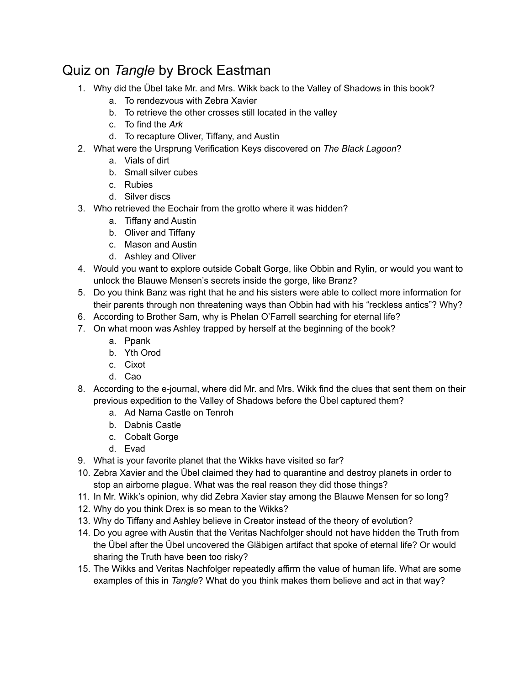## Quiz on *Tangle* by Brock Eastman

- 1. Why did the Übel take Mr. and Mrs. Wikk back to the Valley of Shadows in this book?
	- a. To rendezvous with Zebra Xavier
	- b. To retrieve the other crosses still located in the valley
	- c. To find the *Ark*
	- d. To recapture Oliver, Tiffany, and Austin
- 2. What were the Ursprung Verification Keys discovered on *The Black Lagoon*?
	- a. Vials of dirt
	- b. Small silver cubes
	- c. Rubies
	- d. Silver discs
- 3. Who retrieved the Eochair from the grotto where it was hidden?
	- a. Tiffany and Austin
	- b. Oliver and Tiffany
	- c. Mason and Austin
	- d. Ashley and Oliver
- 4. Would you want to explore outside Cobalt Gorge, like Obbin and Rylin, or would you want to unlock the Blauwe Mensen's secrets inside the gorge, like Branz?
- 5. Do you think Banz was right that he and his sisters were able to collect more information for their parents through non threatening ways than Obbin had with his "reckless antics"? Why?
- 6. According to Brother Sam, why is Phelan O'Farrell searching for eternal life?
- 7. On what moon was Ashley trapped by herself at the beginning of the book?
	- a. Ppank
	- b. Yth Orod
	- c. Cixot
	- d. Cao
- 8. According to the e-journal, where did Mr. and Mrs. Wikk find the clues that sent them on their previous expedition to the Valley of Shadows before the Übel captured them?
	- a. Ad Nama Castle on Tenroh
	- b. Dabnis Castle
	- c. Cobalt Gorge
	- d. Evad
- 9. What is your favorite planet that the Wikks have visited so far?
- 10. Zebra Xavier and the Übel claimed they had to quarantine and destroy planets in order to stop an airborne plague. What was the real reason they did those things?
- 11. In Mr. Wikk's opinion, why did Zebra Xavier stay among the Blauwe Mensen for so long?
- 12. Why do you think Drex is so mean to the Wikks?
- 13. Why do Tiffany and Ashley believe in Creator instead of the theory of evolution?
- 14. Do you agree with Austin that the Veritas Nachfolger should not have hidden the Truth from the Übel after the Übel uncovered the Gläbigen artifact that spoke of eternal life? Or would sharing the Truth have been too risky?
- 15. The Wikks and Veritas Nachfolger repeatedly affirm the value of human life. What are some examples of this in *Tangle*? What do you think makes them believe and act in that way?